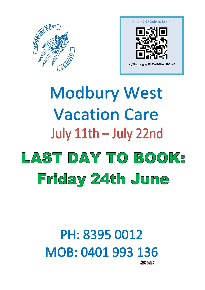



# **Modbury West Vacation Care** July 11th - July 22nd LAST DAY TO BOOKE Friday 24th June

# PH: 8395 0012 MOB: 0401 993 136

**SMS ONLY**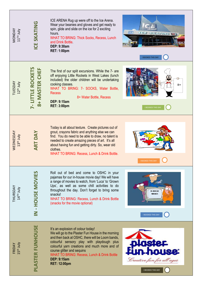| MONDAY<br>11 <sup>TH</sup> July   | <b>ICE SKATING</b>                                         | ICE ARENA Rug up were off to the Ice Arena.<br>Wear your beanies and gloves and get ready to<br>spin, glide and slide on the ice for 2 exciting<br>hours.<br><b>WHAT TO BRING: Thick Socks, Recess, Lunch</b><br>and Drink Bottle.<br><b>DEP: 9:30am</b><br><b>RET: 1:00pm</b>                                                                                                   | ICE<br>$\sqrt{47}$<br>SKANNE<br><b>I BOOKED THIS DAY</b>                     |
|-----------------------------------|------------------------------------------------------------|----------------------------------------------------------------------------------------------------------------------------------------------------------------------------------------------------------------------------------------------------------------------------------------------------------------------------------------------------------------------------------|------------------------------------------------------------------------------|
| TUESDAY<br>12 <sup>th</sup> July  | 8+ MASTER CHEF<br><b>ITTLE ROCKET</b><br><u>ון - ל</u>     | The first of our split excursions. While the 7- are<br>off enjoying Little Rockets in West Lakes (lunch<br>included) the older children will be undertaking<br>cooking classes.<br>WHAT TO BRING: 7- SOCKS, Water Bottle,<br><b>Recess</b><br>8+ Water Bottle, Recess<br><b>DEP: 9:15am</b><br><b>RET: 3:00pm</b>                                                                | $8+$<br><b>BOOKED THIS DAY</b>                                               |
| WEDNESDAY<br>$13th$ July          | <b>DAY</b><br><b>ART</b>                                   | Today is all about texture. Create pictures out of<br>grout, crayons fabric and anything else we can<br>find. You do need to be able to draw, no talent is<br>needed to create amazing pieces of art. It's all<br>about having fun and getting dirty. So, wear old<br>clothes.<br>WHAT TO BRING: Recess, Lunch & Drink Bottle.                                                   | <b>I BOOKED THIS DAY</b>                                                     |
| THURSDAY<br>14 <sup>TH</sup> July | <b>HOUSE MOVIES</b><br>$\overline{\underline{\mathsf{Z}}}$ | Roll out of bed and come to OSHC in your<br>pajamas for our in-house movie day! We will have<br>a range of movies to watch, from 'Luca' to 'Grown'<br>Ups', as well as some chill activities to do<br>throughout the day. Don't forget to bring some<br>snacks!<br>WHAT TO BRING: Recess, Lunch & Drink Bottle<br>(snacks for the movie optional)                                | $\mathbf{p}$<br><b>IN HOUSE</b><br><b>MOVIES</b><br><b>I BOOKED THIS DAY</b> |
| FRIDAY<br>15 <sup>th</sup> July   | PLASTER FUNHOUSE                                           | It's an explosion of colour today!<br>We will go to the Plaster Fun House in the morning<br>and then back at OSHC, there will be Loom bands,<br>colourful sensory play with playdough plus<br>colourful yarn creations and much more and of<br>course glitter and sequins<br><b>WHAT TO BRING: Recess, Lunch &amp; Drink Bottle</b><br><b>DEP: 9:15am</b><br><b>RET: 12:00pm</b> | Inore<br>Creative fun for all ages<br><b>I BOOKED THIS DAY</b>               |

. .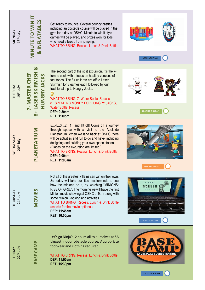| MONDAY<br>18 <sup>th</sup> July         | MINUTE TO WIN IT<br>& INFLATABLES                                                          | Get ready to bounce! Several bouncy castles<br>including an obstacle course will be placed in the<br>gym for a day at OSHC. Minute to win it style<br>games will be played, and prizes won for kids<br>who need a break from jumping.<br>WHAT TO BRING: Recess, Lunch & Drink Bottle                                                                                                                                              | <b>I BOOKED THIS DAY</b>        |
|-----------------------------------------|--------------------------------------------------------------------------------------------|-----------------------------------------------------------------------------------------------------------------------------------------------------------------------------------------------------------------------------------------------------------------------------------------------------------------------------------------------------------------------------------------------------------------------------------|---------------------------------|
| <b>TUESDAY</b><br>19 <sup>th</sup> July | <u>ನ</u><br><b>LASER SKIRMISH</b><br><b>HUNGRY JACKS</b><br>7- MASTER CHE<br>$\frac{1}{8}$ | The second part of the split excursion. It's the 7-<br>turn to cook with a focus on healthy versions of<br>fast foods. The 8+ children are off to Laser<br>Skirmish for 3 games each followed by our<br>traditional trip to Hungry Jacks.<br>$\ddot{\bm{x}}$<br>WHAT TO BRING: 7- Water Bottle, Recess<br>8+ SPENDING MONEY FOR HUNGRY JACKS,<br><b>Water Bottle, Recess</b><br><b>DEP: 9:30am</b><br><b>RET: 1:30pm</b>          | $7 -$<br><b>BOOKED THIS DAY</b> |
| WEDNESDAY<br>20 <sup>th</sup> July      | PLANETARIUM                                                                                | 54321and lift off! Come on a journey<br>through space with a visit to the Adelaide<br>Planetarium. When we land back at OSHC there<br>will be activities and fun to do and have, including<br>designing and building your own space station.<br>(Places on the excursion are limited.)<br>WHAT TO BRING: Recess, Lunch & Drink Bottle<br><b>DEP: 9:00am</b><br><b>RET: 11:00am</b>                                                | I BOOKED THIS D                 |
| THURSDAY<br>21st July                   | <b>MOVIES</b>                                                                              | Not all of the greatest villains can win on their own.<br>So today will take our little masterminds to see<br>how the minions do it, by watching "MINIONS:<br>RISE OF GRU.". The morning we will have the first<br>Minion movie showing at OSHC at 9am along with<br>some Minion Cooking and activities.<br>WHAT TO BRING: Recess, Lunch & Drink Bottle<br>(snacks for the movie optional)<br>DEP: 11:45am<br><b>RET: 16:00pm</b> | <b>BOOKED THIS DAY</b>          |
| FRIDAY<br>22 <sup>nd</sup> July         | BASE CAMP                                                                                  | Let's go Ninja's. 2 hours all to ourselves at SA<br>biggest indoor obstacle course. Appropriate<br>footwear and clothing required.<br><b>WHAT TO BRING: Recess, Lunch &amp; Drink Bottle</b><br><b>DEP: 11:00am</b><br><b>RET: 15:30pm</b>                                                                                                                                                                                        | <b>I BOOKED THIS DAY</b>        |